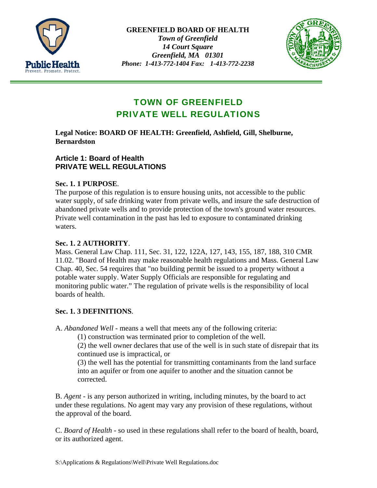

**GREENFIELD BOARD OF HEALTH**  *Town of Greenfield 14 Court Square Greenfield, MA 01301 Phone: 1-413-772-1404 Fax: 1-413-772-2238* 



# TOWN OF GREENFIELD PRIVATE WELL REGULATIONS

## **Legal Notice: BOARD OF HEALTH: Greenfield, Ashfield, Gill, Shelburne, Bernardston**

## **Article 1: Board of Health PRIVATE WELL REGULATIONS**

# **Sec. 1. 1 PURPOSE**.

The purpose of this regulation is to ensure housing units, not accessible to the public water supply, of safe drinking water from private wells, and insure the safe destruction of abandoned private wells and to provide protection of the town's ground water resources. Private well contamination in the past has led to exposure to contaminated drinking waters.

## **Sec. 1. 2 AUTHORITY**.

Mass. General Law Chap. 111, Sec. 31, 122, 122A, 127, 143, 155, 187, 188, 310 CMR 11.02. "Board of Health may make reasonable health regulations and Mass. General Law Chap. 40, Sec. 54 requires that "no building permit be issued to a property without a potable water supply. Water Supply Officials are responsible for regulating and monitoring public water." The regulation of private wells is the responsibility of local boards of health.

# **Sec. 1. 3 DEFINITIONS**.

A. *Abandoned Well* - means a well that meets any of the following criteria:

(1) construction was terminated prior to completion of the well.

(2) the well owner declares that use of the well is in such state of disrepair that its continued use is impractical, or

(3) the well has the potential for transmitting contaminants from the land surface into an aquifer or from one aquifer to another and the situation cannot be corrected.

B. *Agent* - is any person authorized in writing, including minutes, by the board to act under these regulations. No agent may vary any provision of these regulations, without the approval of the board.

C. *Board of Health* - so used in these regulations shall refer to the board of health, board, or its authorized agent.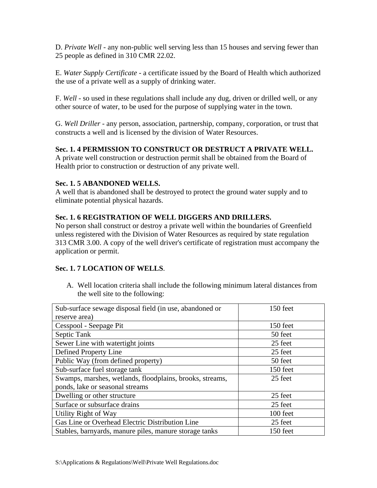D. *Private Well* - any non-public well serving less than 15 houses and serving fewer than 25 people as defined in 310 CMR 22.02.

E. *Water Supply Certificate* - a certificate issued by the Board of Health which authorized the use of a private well as a supply of drinking water.

F. *Well* - so used in these regulations shall include any dug, driven or drilled well, or any other source of water, to be used for the purpose of supplying water in the town.

G. *Well Driller* - any person, association, partnership, company, corporation, or trust that constructs a well and is licensed by the division of Water Resources.

# **Sec. 1. 4 PERMISSION TO CONSTRUCT OR DESTRUCT A PRIVATE WELL.**

A private well construction or destruction permit shall be obtained from the Board of Health prior to construction or destruction of any private well.

## **Sec. 1. 5 ABANDONED WELLS.**

A well that is abandoned shall be destroyed to protect the ground water supply and to eliminate potential physical hazards.

#### **Sec. 1. 6 REGISTRATION OF WELL DIGGERS AND DRILLERS.**

No person shall construct or destroy a private well within the boundaries of Greenfield unless registered with the Division of Water Resources as required by state regulation 313 CMR 3.00. A copy of the well driver's certificate of registration must accompany the application or permit.

## **Sec. 1. 7 LOCATION OF WELLS**.

A. Well location criteria shall include the following minimum lateral distances from the well site to the following:

| Sub-surface sewage disposal field (in use, abandoned or  | 150 feet |
|----------------------------------------------------------|----------|
| reserve area)                                            |          |
| Cesspool - Seepage Pit                                   | 150 feet |
| Septic Tank                                              | 50 feet  |
| Sewer Line with watertight joints                        | 25 feet  |
| Defined Property Line                                    | 25 feet  |
| Public Way (from defined property)                       | 50 feet  |
| Sub-surface fuel storage tank                            | 150 feet |
| Swamps, marshes, wetlands, floodplains, brooks, streams, | 25 feet  |
| ponds, lake or seasonal streams                          |          |
| Dwelling or other structure                              | 25 feet  |
| Surface or subsurface drains                             | 25 feet  |
| Utility Right of Way                                     | 100 feet |
| Gas Line or Overhead Electric Distribution Line          | 25 feet  |
| Stables, barnyards, manure piles, manure storage tanks   | 150 feet |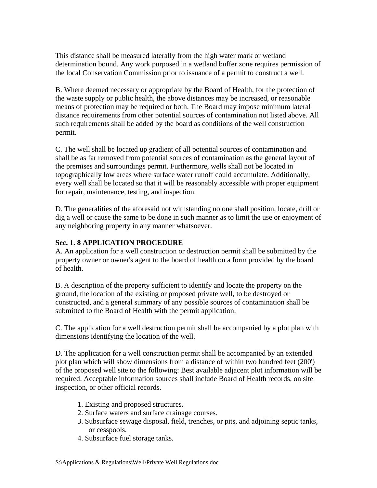This distance shall be measured laterally from the high water mark or wetland determination bound. Any work purposed in a wetland buffer zone requires permission of the local Conservation Commission prior to issuance of a permit to construct a well.

B. Where deemed necessary or appropriate by the Board of Health, for the protection of the waste supply or public health, the above distances may be increased, or reasonable means of protection may be required or both. The Board may impose minimum lateral distance requirements from other potential sources of contamination not listed above. All such requirements shall be added by the board as conditions of the well construction permit.

C. The well shall be located up gradient of all potential sources of contamination and shall be as far removed from potential sources of contamination as the general layout of the premises and surroundings permit. Furthermore, wells shall not be located in topographically low areas where surface water runoff could accumulate. Additionally, every well shall be located so that it will be reasonably accessible with proper equipment for repair, maintenance, testing, and inspection.

D. The generalities of the aforesaid not withstanding no one shall position, locate, drill or dig a well or cause the same to be done in such manner as to limit the use or enjoyment of any neighboring property in any manner whatsoever.

### **Sec. 1. 8 APPLICATION PROCEDURE**

A. An application for a well construction or destruction permit shall be submitted by the property owner or owner's agent to the board of health on a form provided by the board of health.

B. A description of the property sufficient to identify and locate the property on the ground, the location of the existing or proposed private well, to be destroyed or constructed, and a general summary of any possible sources of contamination shall be submitted to the Board of Health with the permit application.

C. The application for a well destruction permit shall be accompanied by a plot plan with dimensions identifying the location of the well.

D. The application for a well construction permit shall be accompanied by an extended plot plan which will show dimensions from a distance of within two hundred feet (200') of the proposed well site to the following: Best available adjacent plot information will be required. Acceptable information sources shall include Board of Health records, on site inspection, or other official records.

- 1. Existing and proposed structures.
- 2. Surface waters and surface drainage courses.
- 3. Subsurface sewage disposal, field, trenches, or pits, and adjoining septic tanks, or cesspools.
- 4. Subsurface fuel storage tanks.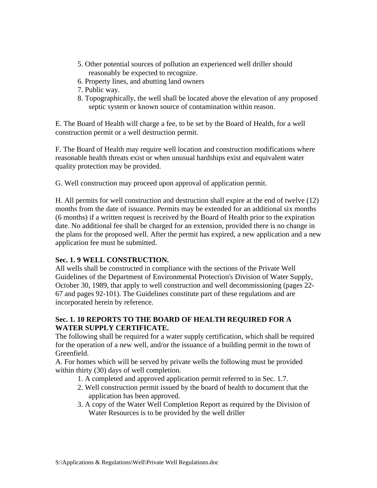- 5. Other potential sources of pollution an experienced well driller should reasonably be expected to recognize.
- 6. Property lines, and abutting land owners
- 7. Public way.
- 8. Topographically, the well shall be located above the elevation of any proposed septic system or known source of contamination within reason.

E. The Board of Health will charge a fee, to be set by the Board of Health, for a well construction permit or a well destruction permit.

F. The Board of Health may require well location and construction modifications where reasonable health threats exist or when unusual hardships exist and equivalent water quality protection may be provided.

G. Well construction may proceed upon approval of application permit.

H. All permits for well construction and destruction shall expire at the end of twelve (12) months from the date of issuance. Permits may be extended for an additional six months (6 months) if a written request is received by the Board of Health prior to the expiration date. No additional fee shall be charged for an extension, provided there is no change in the plans for the proposed well. After the permit has expired, a new application and a new application fee must be submitted.

#### **Sec. 1. 9 WELL CONSTRUCTION.**

All wells shall be constructed in compliance with the sections of the Private Well Guidelines of the Department of Environmental Protection's Division of Water Supply, October 30, 1989, that apply to well construction and well decommissioning (pages 22- 67 and pages 92-101). The Guidelines constitute part of these regulations and are incorporated herein by reference.

## **Sec. 1. 10 REPORTS TO THE BOARD OF HEALTH REQUIRED FOR A WATER SUPPLY CERTIFICATE.**

The following shall be required for a water supply certification, which shall be required for the operation of a new well, and/or the issuance of a building permit in the town of Greenfield.

A. For homes which will be served by private wells the following must be provided within thirty (30) days of well completion.

- 1. A completed and approved application permit referred to in Sec. 1.7.
- 2. Well construction permit issued by the board of health to document that the application has been approved.
- 3. A copy of the Water Well Completion Report as required by the Division of Water Resources is to be provided by the well driller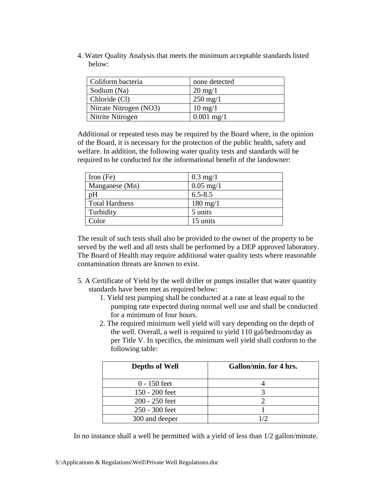4. Water Quality Analysis that meets the minimum acceptable standards listed below:

| Coliform bacteria      | none detected         |
|------------------------|-----------------------|
| Sodium (Na)            | $20 \text{ mg}/1$     |
| Chloride (Cl)          | $250 \,\mathrm{mg}/1$ |
| Nitrate Nitrogen (NO3) | $10 \text{ mg}/1$     |
| Nitrite Nitrogen       | $0.001$ mg/1          |

Additional or repeated tests may be required by the Board where, in the opinion of the Board, it is necessary for the protection of the public health, safety and welfare. In addition, the following water quality tests and standards will be required to be conducted for the informational benefit of the landowner:

| Iron $(Fe)$           | $0.3 \text{ mg}/1$  |
|-----------------------|---------------------|
| Manganese (Mn)        | $0.05 \text{ mg}/1$ |
| pH                    | $6.5 - 8.5$         |
| <b>Total Hardness</b> | $180 \text{ mg}/1$  |
| Turbidity             | 5 units             |
| Color                 | 15 units            |

The result of such tests shall also be provided to the owner of the property to be served by the well and all tests shall be performed by a DEP approved laboratory. The Board of Health may require additional water quality tests where reasonable contamination threats are known to exist.

- 5. A Certificate of Yield by the well driller or pumps installer that water quantity standards have been met as required below:
	- 1. Yield test pumping shall be conducted at a rate at least equal to the pumping rate expected during normal well use and shall be conducted for a minimum of four hours.
	- 2. The required minimum well yield will vary depending on the depth of the well. Overall, a well is required to yield 110 gal/bedroom/day as per Title V. In specifics, the minimum well yield shall conform to the following table:

| <b>Depths of Well</b> | Gallon/min. for 4 hrs. |
|-----------------------|------------------------|
| $0 - 150$ feet        |                        |
| 150 - 200 feet        |                        |
| 200 - 250 feet        |                        |
| 250 - 300 feet        |                        |
| 300 and deeper        |                        |

In no instance shall a well be permitted with a yield of less than 1/2 gallon/minute.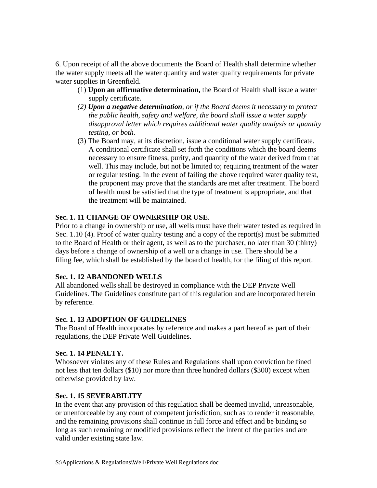6. Upon receipt of all the above documents the Board of Health shall determine whether the water supply meets all the water quantity and water quality requirements for private water supplies in Greenfield.

- (1) **Upon an affirmative determination,** the Board of Health shall issue a water supply certificate.
- *(2) Upon a negative determination, or if the Board deems it necessary to protect the public health, safety and welfare, the board shall issue a water supply disapproval letter which requires additional water quality analysis or quantity testing, or both.*
- (3) The Board may, at its discretion, issue a conditional water supply certificate. A conditional certificate shall set forth the conditions which the board deems necessary to ensure fitness, purity, and quantity of the water derived from that well. This may include, but not be limited to; requiring treatment of the water or regular testing. In the event of failing the above required water quality test, the proponent may prove that the standards are met after treatment. The board of health must be satisfied that the type of treatment is appropriate, and that the treatment will be maintained.

## **Sec. 1. 11 CHANGE OF OWNERSHIP OR USE**.

Prior to a change in ownership or use, all wells must have their water tested as required in Sec. 1.10 (4). Proof of water quality testing and a copy of the report(s) must be submitted to the Board of Health or their agent, as well as to the purchaser, no later than 30 (thirty) days before a change of ownership of a well or a change in use. There should be a filing fee, which shall be established by the board of health, for the filing of this report.

## **Sec. 1. 12 ABANDONED WELLS**

All abandoned wells shall be destroyed in compliance with the DEP Private Well Guidelines. The Guidelines constitute part of this regulation and are incorporated herein by reference.

# **Sec. 1. 13 ADOPTION OF GUIDELINES**

The Board of Health incorporates by reference and makes a part hereof as part of their regulations, the DEP Private Well Guidelines.

## **Sec. 1. 14 PENALTY.**

Whosoever violates any of these Rules and Regulations shall upon conviction be fined not less that ten dollars (\$10) nor more than three hundred dollars (\$300) except when otherwise provided by law.

## **Sec. 1. 15 SEVERABILITY**

In the event that any provision of this regulation shall be deemed invalid, unreasonable, or unenforceable by any court of competent jurisdiction, such as to render it reasonable, and the remaining provisions shall continue in full force and effect and be binding so long as such remaining or modified provisions reflect the intent of the parties and are valid under existing state law.